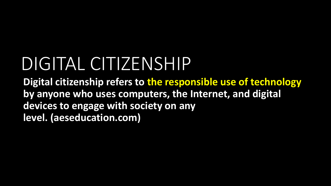# DIGITAL CITIZENSHIP

**Digital citizenship refers to the responsible use of technology by anyone who uses computers, the Internet, and digital devices to engage with society on any level. (aeseducation.com)**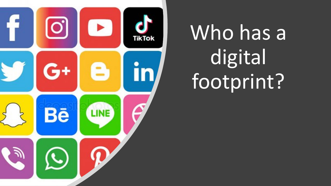

# Who has a digital footprint?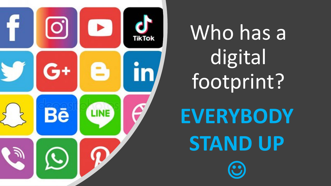

Who has a digital footprint?

**EVERYBODY STAND UP** 

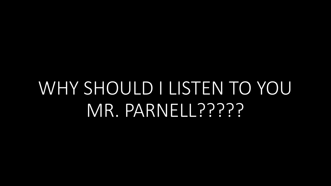## WHY SHOULD I LISTEN TO YOU MR. PARNELL?????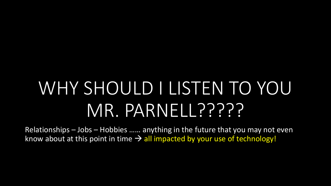# WHY SHOULD I LISTEN TO YOU MR. PARNELL?????

Relationships – Jobs – Hobbies …… anything in the future that you may not even know about at this point in time  $\rightarrow$  all impacted by your use of technology!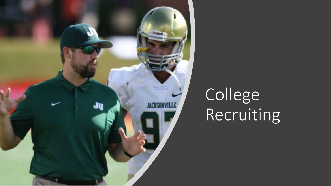

## College Recruiting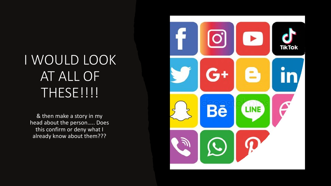### I WOULD LOOK AT ALL OF THESE!!!!

& then make a story in my head about the person….. Does this confirm or deny what I already know about them???

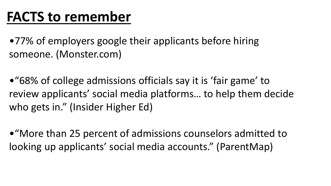### **FACTS to remember**

•77% of employers google their applicants before hiring someone. (Monster.com)

•"68% of college admissions officials say it is 'fair game' to review applicants' social media platforms… to help them decide who gets in." (Insider Higher Ed)

•"More than 25 percent of admissions counselors admitted to looking up applicants' social media accounts." (ParentMap)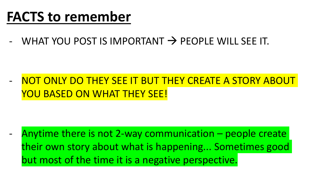### **FACTS to remember**

WHAT YOU POST IS IMPORTANT  $\rightarrow$  PEOPLE WILL SEE IT.

#### NOT ONLY DO THEY SEE IT BUT THEY CREATE A STORY ABOUT YOU BASED ON WHAT THEY SEE!

Anytime there is not 2-way communication  $-$  people create their own story about what is happening... Sometimes good but most of the time it is a negative perspective.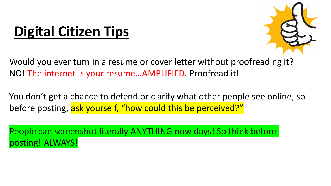## **Digital Citizen Tips**



Would you ever turn in a resume or cover letter without proofreading it? NO! The internet is your resume…AMPLIFIED. Proofread it!

You don't get a chance to defend or clarify what other people see online, so before posting, ask yourself, "how could this be perceived?"

People can screenshot literally ANYTHING now days! So think before posting! ALWAYS!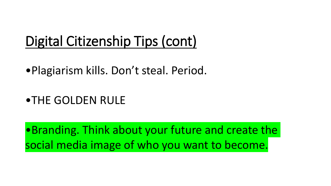### Digital Citizenship Tips (cont)

•Plagiarism kills. Don't steal. Period.

#### •THE GOLDEN RULE

•Branding. Think about your future and create the social media image of who you want to become.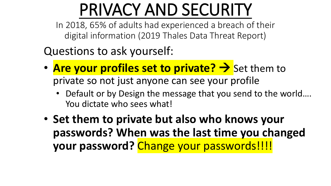## PRIVACY AND SECURITY

In 2018, 65% of adults had experienced a breach of their digital information (2019 Thales Data Threat Report)

Questions to ask yourself:

- **Are your profiles set to private?** > Set them to private so not just anyone can see your profile
	- Default or by Design the message that you send to the world.... You dictate who sees what!
- **Set them to private but also who knows your passwords? When was the last time you changed your password?** Change your passwords!!!!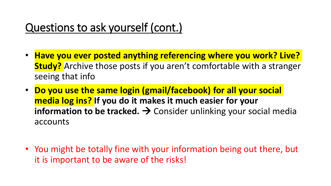#### Questions to ask yourself (cont.)

- **Have you ever posted anything referencing where you work? Live? Study?** Archive those posts if you aren't comfortable with a stranger seeing that info
- **Do you use the same login (gmail/facebook) for all your social media log ins? If you do it makes it much easier for your information to be tracked.**  $\rightarrow$  Consider unlinking your social media accounts
- You might be totally fine with your information being out there, but it is important to be aware of the risks!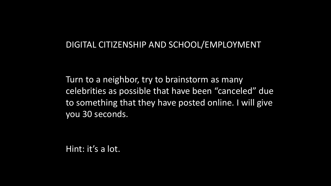#### DIGITAL CITIZENSHIP AND SCHOOL/EMPLOYMENT

Turn to a neighbor, try to brainstorm as many celebrities as possible that have been "canceled" due to something that they have posted online. I will give you 30 seconds.

Hint: it's a lot.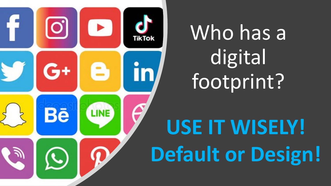

# Who has a digital footprint?

# **USE IT WISELY! Default or Design!**